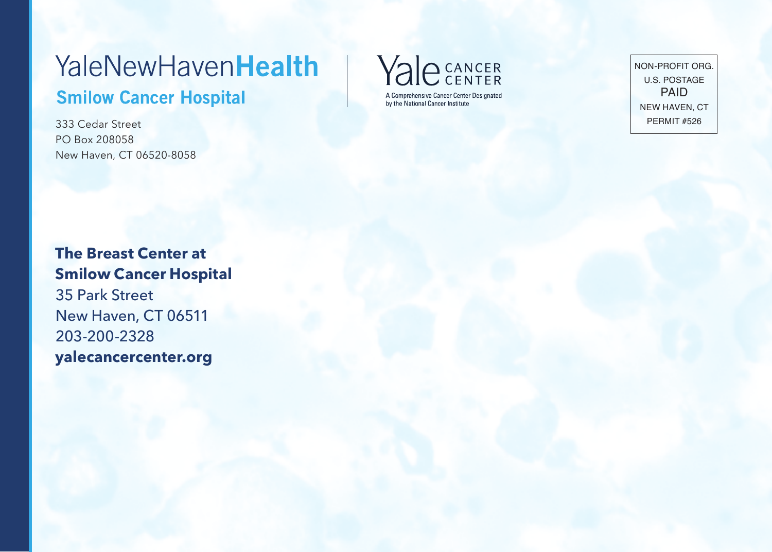## **YaleNewHavenHealth Smilow Cancer Hospital**

333 Cedar Street PO Box 208058 New Haven, CT 06520-8058



NON-PROFIT ORG. U.S. POSTAGE PAID NEW HAVEN, CT PERMIT #526

**The Breast Center at Smilow Cancer Hospital** 35 Park Street New Haven, CT 06511 203-200-2328 **yalecancercenter.org**